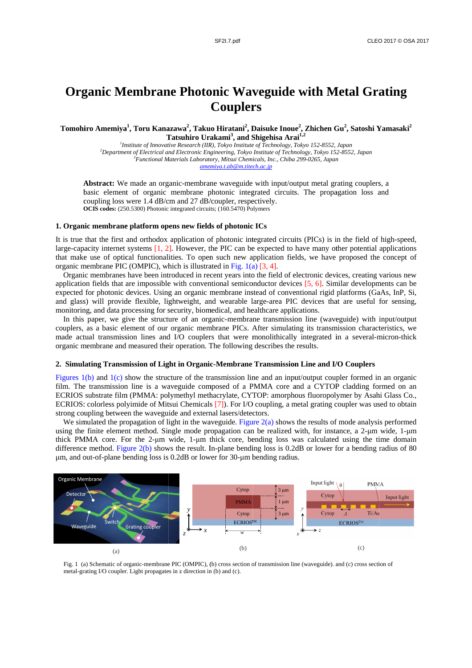# **Organic Membrane Photonic Waveguide with Metal Grating Couplers Couplers**

Tomohiro Amemiya<sup>1</sup>, Toru Kanazawa<sup>2</sup>, Takuo Hiratani<sup>2</sup>, Daisuke Inoue<sup>2</sup>, Zhichen Gu<sup>2</sup>, Satoshi Yamasaki<sup>2</sup> **T Tatsuhiro Urakami 3 , and S Shigehisa Arai 1,2**

<sup>1</sup> Institute of Innovative Research (IIR), Tokyo Institute of Technology, Tokyo 152-8552, Japan *<sup>2</sup>Department of Electrical and Electronic Engineering Engineering, Tokyo Institute of Technology, Tokyo 152 8552, 152-8552, Japan*  <sup>3</sup> Functional Materials Laboratory, Mitsui Chemicals, Inc., Chiba 299-0265, Japan *amemiya.t.ab amemiya.t.ab@m.titech.ac.jp @m.titech.ac.jp*

Abstract: We made an organic-membrane waveguide with input/output metal grating couplers, a basic element of organic membrane photonic integrated circuits. The propagation loss and coupling loss were 1.4 dB/cm and 27 dB/coupler, respectively. coupling loss were 1.4 dB/cm and 27 dB/coupler, respectively. OCIS codes: (250.5300) Photonic integrated circuits; (160.5470) Polymers **Abstract:** We made an organic-membrane waveguide with input/output metal grating couplers, a<br>pasic element of organic membrane photonic integrated circuits. The propagation loss and<br>coupling loss were 1.4 dB/cm and 27 dB/

### **1. Organic membrane platform opens new fields of platform membrane photonic ICs**

It is true that the first and orthodox application of photonic integrated circuits (PICs) is in the field of high-speed, large-capacity internet systems that make use of optical functionalities. To open such new application fields, we have proposed the concept of organic membrane PIC (OMPIC), which is illustrated in Fig.  $1(a)$  [3, 4]. It is true that the first and orthodox application of photonic integrated circuits (PICs) is in the field of high-speed, large-capacity internet systems [1, 2]. However, the PIC can be expected to have many other potentia

Organic membranes have been introduced in recent years into the field of electronic devices, creating various new application fields that are impossible with conventional semiconductor devices  $[5, 6]$ . Similar developments can be expected for photonic devices. Using an organic membrane instead of conventional rigid platforms (GaAs, InP, Si, expected for photonic devices. Using an organic membrane instead of conventional rigid platforms (GaAs, InP, Si, and glass) will provide flexible, lightweight, and wearable large-area PIC devices that are useful for sensin monitoring, and data processing for security, biomedical, and healthcare applications. plication fields that are impossible with conventional semiconductor devices [5, 6]. Similar developments can be pected for photonic devices. Using an organic membrane instead of conventional rigid platforms (GaAs, InP, Si expected for photonic devices. Using an organic membrane instead of conventional rigid platforms (GaAs, InF<br>and glass) will provide flexible, lightweight, and wearable large-area PIC devices that are useful for sen:<br>monito ake use of optical functionalities. To open such new application field<br>c membrane PIC (OMPIC), which is illustrated in Fig. 1(a) [3, 4].<br>anic membranes have been introduced in recent years into the field of ele<br>thion fiel ionalities. To open such new application fields, we have proposed the concept of  $\Sigma$ ), which is illustrated in Fig. 1(a) [3, 4].<br>In introduced in recent years into the field of electronic devices, creating various new ss

made actual transmission lines and I/O couplers that were monolithically integrated in a several-micron-thick organic membrane and measured their operation. The following describes the results. made actual transmission lines and I/O couplers that were monolithically integrated in a several-micron-thick<br>organic membrane and measured their operation. The following describes the results.<br>2. Simulating Transmission o

## 2. Simulating Transmission of Light in Organic-Membrane Transmission Line and I/O Couplers

film. The transmission line is a waveguide composed of a PMMA core and a CYTOP cladding formed on an Figures 1(b) and 1(c) show the structure of the transmission line and an input/output coupler formed in an organic film. The transmission line is a waveguide composed of a PMMA core and a CYTOP cladding formed on an ECRIOS ECRIOS: colorless polyimide of Mitsui Chemicals [7]). For I/O coupling, a metal grating coupler was used<br>strong coupling between the waveguide and external lasers/detectors. strong coupling between the waveguide and external lasers/detector onic devices. Using an organic membrane instead of conventional rigid platforms<br>provide flexible, lightweight, and wearable large-area PIC devices that are use<br>we give the structure of an organic-membrane ransmission line transmission line is a waveguide composed of a PMMA core and<br>substrate film (PMMA: polymethyl methacrylate, CYTOP: amorphous<br>colorless polyimide of Mitsui Chemicals [7]). For I/O coupling, a meta<br>upling between the wavegu

We simulated the propagation of light in the waveguide. using the finite element method. Single mode propagation can be realized with, for instance, a 2-um wide, 1-um thick PMMA core. For the 2-µm wide, 1-µm thick core, bending loss was calculated using the time domain difference method. Figure 2(b) shows the result. In-plane bending loss is 0.2dB or lower for a bending radius of 80 difference method. Figure 2(b) shows the result. In-plane bending loss is 0.2d  $\mu$ m, and out-of-plane bending loss is 0.2dB or lower for 30- $\mu$ m bending radius. ECRIOS: colorless polyimid<br>strong coupling between the<br>We simulated the propagat<br>using the finite element met<br>thick PMMA core. For the<br>difference method. Figure 2( Figure 2 2(a) shows the results of mode analysis performed FOP: amorphous fluoropoly<br>coupling, a metal grating co<br>tors.<br>e  $2(a)$  shows the results of r<br>be realized with, for instanding loss was calculated the results of mode analysis performed



Fig. 1 (a) Schematic of organic metal-grating I/O coupler. Light propagates in z direction in (b) and (c). (a)<br>1 (a) Schematic of organic<br>1-grating I/O coupler. Ligh